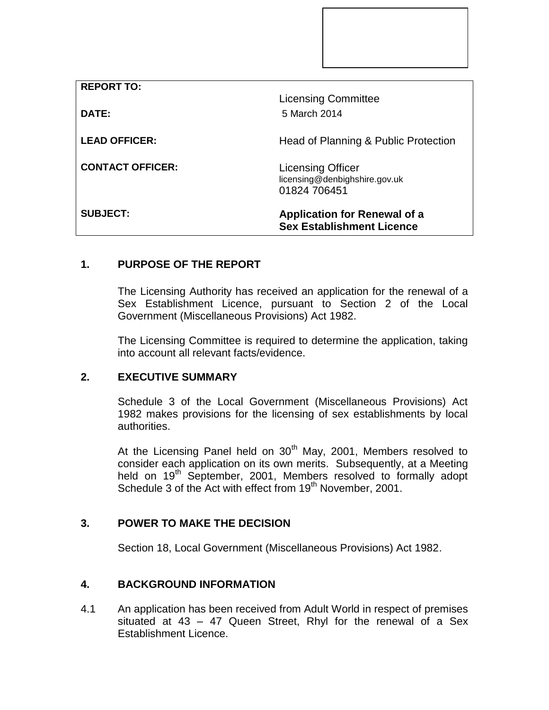| <b>REPORT TO:</b>       |                                                                           |
|-------------------------|---------------------------------------------------------------------------|
|                         | <b>Licensing Committee</b>                                                |
| DATE:                   | 5 March 2014                                                              |
| <b>LEAD OFFICER:</b>    | Head of Planning & Public Protection                                      |
| <b>CONTACT OFFICER:</b> | <b>Licensing Officer</b><br>licensing@denbighshire.gov.uk<br>01824 706451 |
| <b>SUBJECT:</b>         | <b>Application for Renewal of a</b><br><b>Sex Establishment Licence</b>   |

# **1. PURPOSE OF THE REPORT**

The Licensing Authority has received an application for the renewal of a Sex Establishment Licence, pursuant to Section 2 of the Local Government (Miscellaneous Provisions) Act 1982.

The Licensing Committee is required to determine the application, taking into account all relevant facts/evidence.

### **2. EXECUTIVE SUMMARY**

Schedule 3 of the Local Government (Miscellaneous Provisions) Act 1982 makes provisions for the licensing of sex establishments by local authorities.

At the Licensing Panel held on  $30<sup>th</sup>$  May, 2001, Members resolved to consider each application on its own merits. Subsequently, at a Meeting held on 19<sup>th</sup> September, 2001, Members resolved to formally adopt Schedule 3 of the Act with effect from 19<sup>th</sup> November, 2001.

# **3. POWER TO MAKE THE DECISION**

Section 18, Local Government (Miscellaneous Provisions) Act 1982.

#### **4. BACKGROUND INFORMATION**

4.1 An application has been received from Adult World in respect of premises situated at 43 – 47 Queen Street, Rhyl for the renewal of a Sex Establishment Licence.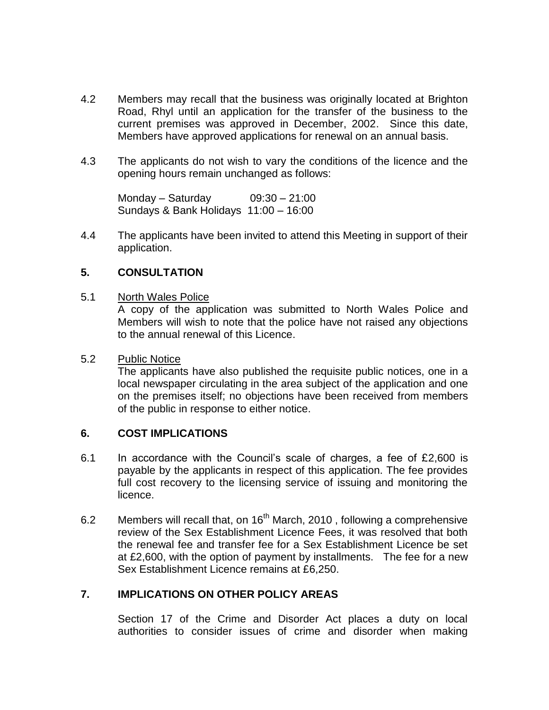- 4.2 Members may recall that the business was originally located at Brighton Road, Rhyl until an application for the transfer of the business to the current premises was approved in December, 2002. Since this date, Members have approved applications for renewal on an annual basis.
- 4.3 The applicants do not wish to vary the conditions of the licence and the opening hours remain unchanged as follows:

Monday – Saturday 09:30 – 21:00 Sundays & Bank Holidays 11:00 – 16:00

4.4 The applicants have been invited to attend this Meeting in support of their application.

#### **5. CONSULTATION**

5.1 North Wales Police

A copy of the application was submitted to North Wales Police and Members will wish to note that the police have not raised any objections to the annual renewal of this Licence.

#### 5.2 Public Notice

The applicants have also published the requisite public notices, one in a local newspaper circulating in the area subject of the application and one on the premises itself; no objections have been received from members of the public in response to either notice.

#### **6. COST IMPLICATIONS**

- 6.1 In accordance with the Council's scale of charges, a fee of £2,600 is payable by the applicants in respect of this application. The fee provides full cost recovery to the licensing service of issuing and monitoring the licence.
- 6.2 Members will recall that, on 16<sup>th</sup> March, 2010, following a comprehensive review of the Sex Establishment Licence Fees, it was resolved that both the renewal fee and transfer fee for a Sex Establishment Licence be set at £2,600, with the option of payment by installments. The fee for a new Sex Establishment Licence remains at £6,250.

#### **7. IMPLICATIONS ON OTHER POLICY AREAS**

Section 17 of the Crime and Disorder Act places a duty on local authorities to consider issues of crime and disorder when making